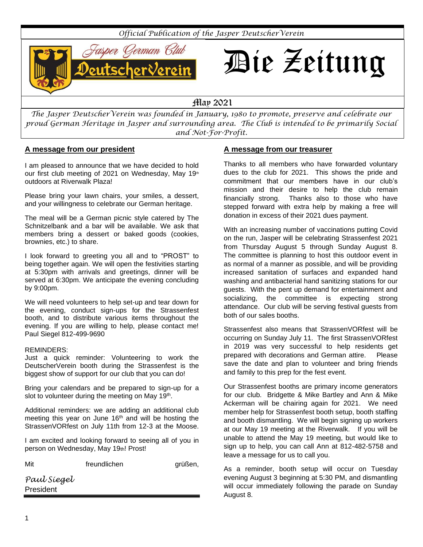

*The Jasper DeutscherVerein was founded in January, 1980 to promote, preserve and celebrate our proud German Heritage in Jasper and surrounding area. The Club is intended to be primarily Social and Not-For-Profit.*

# **A message from our president**

I am pleased to announce that we have decided to hold our first club meeting of 2021 on Wednesday, May 19th outdoors at Riverwalk Plaza!

Please bring your lawn chairs, your smiles, a dessert, and your willingness to celebrate our German heritage.

The meal will be a German picnic style catered by The Schnitzelbank and a bar will be available. We ask that members bring a dessert or baked goods (cookies, brownies, etc.) to share.

I look forward to greeting you all and to "PROST" to being together again. We will open the festivities starting at 5:30pm with arrivals and greetings, dinner will be served at 6:30pm. We anticipate the evening concluding by 9:00pm.

We will need volunteers to help set-up and tear down for the evening, conduct sign-ups for the Strassenfest booth, and to distribute various items throughout the evening. If you are willing to help, please contact me! Paul Siegel 812-499-9690

#### REMINDERS:

Just a quick reminder: Volunteering to work the DeutscherVerein booth during the Strassenfest is the biggest show of support for our club that you can do!

Bring your calendars and be prepared to sign-up for a slot to volunteer during the meeting on May 19<sup>th</sup>.

Additional reminders: we are adding an additional club meeting this year on June 16<sup>th</sup> and will be hosting the StrassenVORfest on July 11th from 12-3 at the Moose.

I am excited and looking forward to seeing all of you in person on Wednesday, May 19th! Prost!

freundlichen grüßen,

*Paul Siegel*  President

# **A message from our treasurer**

Thanks to all members who have forwarded voluntary dues to the club for 2021. This shows the pride and commitment that our members have in our club's mission and their desire to help the club remain financially strong. Thanks also to those who have stepped forward with extra help by making a free will donation in excess of their 2021 dues payment.

With an increasing number of vaccinations putting Covid on the run, Jasper will be celebrating Strassenfest 2021 from Thursday August 5 through Sunday August 8. The committee is planning to host this outdoor event in as normal of a manner as possible, and will be providing increased sanitation of surfaces and expanded hand washing and antibacterial hand sanitizing stations for our guests. With the pent up demand for entertainment and socializing, the committee is expecting strong attendance. Our club will be serving festival guests from both of our sales booths.

Strassenfest also means that StrassenVORfest will be occurring on Sunday July 11. The first StrassenVORfest in 2019 was very successful to help residents get prepared with decorations and German attire. Please save the date and plan to volunteer and bring friends and family to this prep for the fest event.

Our Strassenfest booths are primary income generators for our club. Bridgette & Mike Bartley and Ann & Mike Ackerman will be chairing again for 2021. We need member help for Strassenfest booth setup, booth staffing and booth dismantling. We will begin signing up workers at our May 19 meeting at the Riverwalk. If you will be unable to attend the May 19 meeting, but would like to sign up to help, you can call Ann at 812-482-5758 and leave a message for us to call you.

As a reminder, booth setup will occur on Tuesday evening August 3 beginning at 5:30 PM, and dismantling will occur immediately following the parade on Sunday August 8.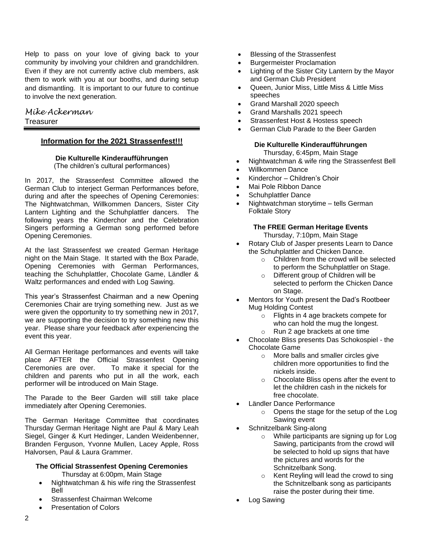Help to pass on your love of giving back to your community by involving your children and grandchildren. Even if they are not currently active club members, ask them to work with you at our booths, and during setup and dismantling. It is important to our future to continue to involve the next generation.

# *Mike Ackerman* **Treasurer**

# **Information for the 2021 Strassenfest!!!**

#### **Die Kulturelle Kinderaufführungen** (The children's cultural performances)

In 2017, the Strassenfest Committee allowed the German Club to interject German Performances before, during and after the speeches of Opening Ceremonies: The Nightwatchman, Willkommen Dancers, Sister City Lantern Lighting and the Schuhplattler dancers. The following years the Kinderchor and the Celebration Singers performing a German song performed before Opening Ceremonies.

At the last Strassenfest we created German Heritage night on the Main Stage. It started with the Box Parade, Opening Ceremonies with German Performances, teaching the Schuhplattler, Chocolate Game, Ländler & Waltz performances and ended with Log Sawing.

This year's Strassenfest Chairman and a new Opening Ceremonies Chair are trying something new. Just as we were given the opportunity to try something new in 2017, we are supporting the decision to try something new this year. Please share your feedback *after* experiencing the event this year.

All German Heritage performances and events will take place AFTER the Official Strassenfest Opening Ceremonies are over. To make it special for the children and parents who put in all the work, each performer will be introduced on Main Stage.

The Parade to the Beer Garden will still take place immediately after Opening Ceremonies.

The German Heritage Committee that coordinates Thursday German Heritage Night are Paul & Mary Leah Siegel, Ginger & Kurt Hedinger, Landen Weidenbenner, Branden Ferguson, Yvonne Mullen, Lacey Apple, Ross Halvorsen, Paul & Laura Grammer.

# **The Official Strassenfest Opening Ceremonies**

Thursday at 6:00pm, Main Stage

- Nightwatchman & his wife ring the Strassenfest Bell
- Strassenfest Chairman Welcome
- Presentation of Colors
- Blessing of the Strassenfest
- Burgermeister Proclamation
- Lighting of the Sister City Lantern by the Mayor and German Club President
- Queen, Junior Miss, Little Miss & Little Miss speeches
- Grand Marshall 2020 speech
- Grand Marshalls 2021 speech
- Strassenfest Host & Hostess speech
- German Club Parade to the Beer Garden

# **Die Kulturelle Kinderaufführungen**

Thursday, 6:45pm, Main Stage

- Nightwatchman & wife ring the Strassenfest Bell
- Willkommen Dance
- Kinderchor Children's Choir
- Mai Pole Ribbon Dance
- Schuhplattler Dance
- Nightwatchman storytime tells German Folktale Story

#### **The FREE German Heritage Events** Thursday, 7:10pm, Main Stage

- Rotary Club of Jasper presents Learn to Dance the Schuhplattler and Chicken Dance.
	- o Children from the crowd will be selected to perform the Schuhplattler on Stage.
	- o Different group of Children will be selected to perform the Chicken Dance on Stage.
- Mentors for Youth present the Dad's Rootbeer Mug Holding Contest
	- o Flights in 4 age brackets compete for who can hold the mug the longest. o Run 2 age brackets at one time
- Chocolate Bliss presents Das Schokospiel the Chocolate Game
	- o More balls and smaller circles give children more opportunities to find the nickels inside.
	- o Chocolate Bliss opens after the event to let the children cash in the nickels for free chocolate.
- Ländler Dance Performance
	- o Opens the stage for the setup of the Log Sawing event
- Schnitzelbank Sing-along
	- o While participants are signing up for Log Sawing, participants from the crowd will be selected to hold up signs that have the pictures and words for the Schnitzelbank Song.
	- o Kent Reyling will lead the crowd to sing the Schnitzelbank song as participants raise the poster during their time.
- Log Sawing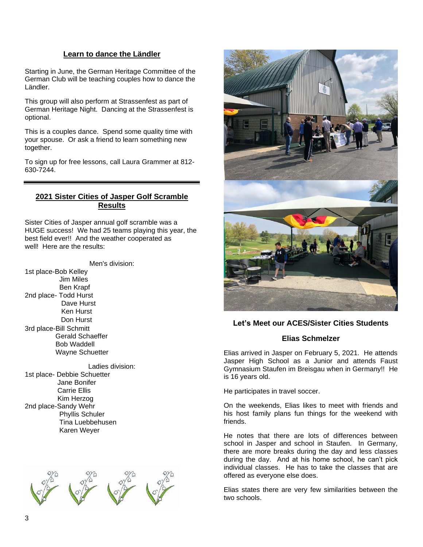# **Learn to dance the Ländler**

Starting in June, the German Heritage Committee of the German Club will be teaching couples how to dance the Ländler.

This group will also perform at Strassenfest as part of German Heritage Night. Dancing at the Strassenfest is optional.

This is a couples dance. Spend some quality time with your spouse. Or ask a friend to learn something new together.

To sign up for free lessons, call Laura Grammer at 812- 630-7244.

# **2021 Sister Cities of Jasper Golf Scramble Results**

Sister Cities of Jasper annual golf scramble was a HUGE success! We had 25 teams playing this year, the best field ever!! And the weather cooperated as well! Here are the results:

Men's division:

1st place-Bob Kelley Jim Miles Ben Krapf 2nd place- Todd Hurst Dave Hurst Ken Hurst Don Hurst 3rd place-Bill Schmitt Gerald Schaeffer Bob Waddell Wayne Schuetter

Ladies division: 1st place- Debbie Schuetter Jane Bonifer Carrie Ellis Kim Herzog 2nd place-Sandy Wehr Phyllis Schuler Tina Luebbehusen Karen Weyer





#### **Let's Meet our ACES/Sister Cities Students**

#### **Elias Schmelzer**

Elias arrived in Jasper on February 5, 2021. He attends Jasper High School as a Junior and attends Faust Gymnasium Staufen im Breisgau when in Germany!! He is 16 years old.

He participates in travel soccer.

On the weekends, Elias likes to meet with friends and his host family plans fun things for the weekend with friends.

He notes that there are lots of differences between school in Jasper and school in Staufen. In Germany, there are more breaks during the day and less classes during the day. And at his home school, he can't pick individual classes. He has to take the classes that are offered as everyone else does.

Elias states there are very few similarities between the two schools.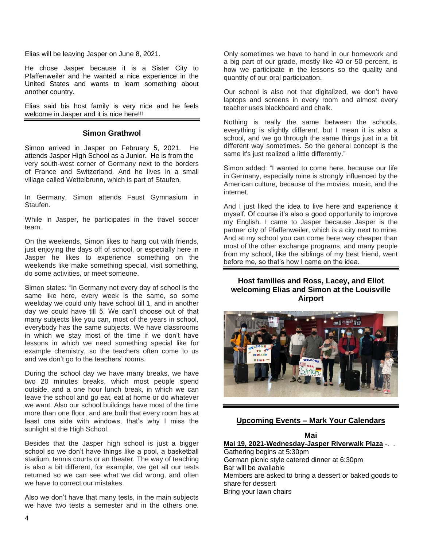Elias will be leaving Jasper on June 8, 2021.

He chose Jasper because it is a Sister City to Pfaffenweiler and he wanted a nice experience in the United States and wants to learn something about another country.

Elias said his host family is very nice and he feels welcome in Jasper and it is nice here!!!

#### **Simon Grathwol**

Simon arrived in Jasper on February 5, 2021. He attends Jasper High School as a Junior. He is from the very south-west corner of Germany next to the borders of France and Switzerland. And he lives in a small village called Wettelbrunn, which is part of Staufen.

In Germany, Simon attends Faust Gymnasium in Staufen.

While in Jasper, he participates in the travel soccer team.

On the weekends, Simon likes to hang out with friends, just enjoying the days off of school, or especially here in Jasper he likes to experience something on the weekends like make something special, visit something, do some activities, or meet someone.

Simon states: "In Germany not every day of school is the same like here, every week is the same, so some weekday we could only have school till 1, and in another day we could have till 5. We can't choose out of that many subjects like you can, most of the years in school, everybody has the same subjects. We have classrooms in which we stay most of the time if we don't have lessons in which we need something special like for example chemistry, so the teachers often come to us and we don't go to the teachers' rooms.

During the school day we have many breaks, we have two 20 minutes breaks, which most people spend outside, and a one hour lunch break, in which we can leave the school and go eat, eat at home or do whatever we want. Also our school buildings have most of the time more than one floor, and are built that every room has at least one side with windows, that's why I miss the sunlight at the High School.

Besides that the Jasper high school is just a bigger school so we don't have things like a pool, a basketball stadium, tennis courts or an theater. The way of teaching is also a bit different, for example, we get all our tests returned so we can see what we did wrong, and often we have to correct our mistakes.

Also we don't have that many tests, in the main subjects we have two tests a semester and in the others one. Only sometimes we have to hand in our homework and a big part of our grade, mostly like 40 or 50 percent, is how we participate in the lessons so the quality and quantity of our oral participation.

Our school is also not that digitalized, we don't have laptops and screens in every room and almost every teacher uses blackboard and chalk.

Nothing is really the same between the schools, everything is slightly different, but I mean it is also a school, and we go through the same things just in a bit different way sometimes. So the general concept is the same it's just realized a little differently."

Simon added: "I wanted to come here, because our life in Germany, especially mine is strongly influenced by the American culture, because of the movies, music, and the internet.

And I just liked the idea to live here and experience it myself. Of course it's also a good opportunity to improve my English. I came to Jasper because Jasper is the partner city of Pfaffenweiler, which is a city next to mine. And at my school you can come here way cheaper than most of the other exchange programs, and many people from my school, like the siblings of my best friend, went before me, so that's how I came on the idea.

# **Host families and Ross, Lacey, and Eliot welcoming Elias and Simon at the Louisville Airport**



#### **Upcoming Events – Mark Your Calendars**

# **Mai**

**Mai 19, 2021-Wednesday-Jasper Riverwalk Plaza** -. . Gathering begins at 5:30pm German picnic style catered dinner at 6:30pm Bar will be available Members are asked to bring a dessert or baked goods to

share for dessert

Bring your lawn chairs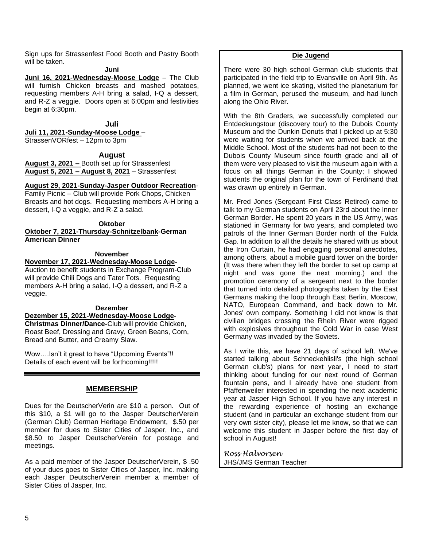Sign ups for Strassenfest Food Booth and Pastry Booth will be taken.

**Juni**

**Juni 16, 2021-Wednesday-Moose Lodge** – The Club will furnish Chicken breasts and mashed potatoes, requesting members A-H bring a salad, I-Q a dessert, and R-Z a veggie. Doors open at 6:00pm and festivities begin at 6:30pm.

**Juli**

**Juli 11, 2021-Sunday-Moose Lodge** –

StrassenVORfest – 12pm to 3pm

**August**

**August 3, 2021 –** Booth set up for Strassenfest **August 5, 2021 – August 8, 2021** – Strassenfest

#### **August 29, 2021-Sunday-Jasper Outdoor Recreation**-

Family Picnic – Club will provide Pork Chops, Chicken Breasts and hot dogs. Requesting members A-H bring a dessert, I-Q a veggie, and R-Z a salad.

#### **Oktober**

**Oktober 7, 2021-Thursday-Schnitzelbank-German American Dinner**

#### **November**

#### **November 17, 2021-Wednesday-Moose Lodge-**

Auction to benefit students in Exchange Program-Club will provide Chili Dogs and Tater Tots. Requesting members A-H bring a salad, I-Q a dessert, and R-Z a veggie.

# **Dezember**

**Dezember 15, 2021-Wednesday-Moose Lodge-Christmas Dinner/Dance-**Club will provide Chicken, Roast Beef, Dressing and Gravy, Green Beans, Corn, Bread and Butter, and Creamy Slaw.

Wow….Isn't it great to have "Upcoming Events"!! Details of each event will be forthcoming!!!!!

#### **MEMBERSHIP**

Dues for the DeutscherVerin are \$10 a person. Out of this \$10, a \$1 will go to the Jasper DeutscherVerein (German Club) German Heritage Endowment, \$.50 per member for dues to Sister Cities of Jasper, Inc., and \$8.50 to Jasper DeutscherVerein for postage and meetings.

As a paid member of the Jasper DeutscherVerein, \$ .50 of your dues goes to Sister Cities of Jasper, Inc. making each Jasper DeutscherVerein member a member of Sister Cities of Jasper, Inc.

#### **Die Jugend**

There were 30 high school German club students that participated in the field trip to Evansville on April 9th. As planned, we went ice skating, visited the planetarium for a film in German, perused the museum, and had lunch along the Ohio River.

With the 8th Graders, we successfully completed our Entdeckungstour (discovery tour) to the Dubois County Museum and the Dunkin Donuts that I picked up at 5:30 were waiting for students when we arrived back at the Middle School. Most of the students had not been to the Dubois County Museum since fourth grade and all of them were very pleased to visit the museum again with a focus on all things German in the County; I showed students the original plan for the town of Ferdinand that was drawn up entirely in German.

Mr. Fred Jones (Sergeant First Class Retired) came to talk to my German students on April 23rd about the Inner German Border. He spent 20 years in the US Army, was stationed in Germany for two years, and completed two patrols of the Inner German Border north of the Fulda Gap. In addition to all the details he shared with us about the Iron Curtain, he had engaging personal anecdotes, among others, about a mobile guard tower on the border (It was there when they left the border to set up camp at night and was gone the next morning.) and the promotion ceremony of a sergeant next to the border that turned into detailed photographs taken by the East Germans making the loop through East Berlin, Moscow, NATO, European Command, and back down to Mr. Jones' own company. Something I did not know is that civilian bridges crossing the Rhein River were rigged with explosives throughout the Cold War in case West Germany was invaded by the Soviets.

As I write this, we have 21 days of school left. We've started talking about Schneckehiisli's (the high school German club's) plans for next year, I need to start thinking about funding for our next round of German fountain pens, and I already have one student from Pfaffenweiler interested in spending the next academic year at Jasper High School. If you have any interest in the rewarding experience of hosting an exchange student (and in particular an exchange student from our very own sister city), please let me know, so that we can welcome this student in Jasper before the first day of school in August!

*Ross Halvorsen* JHS/JMS German Teacher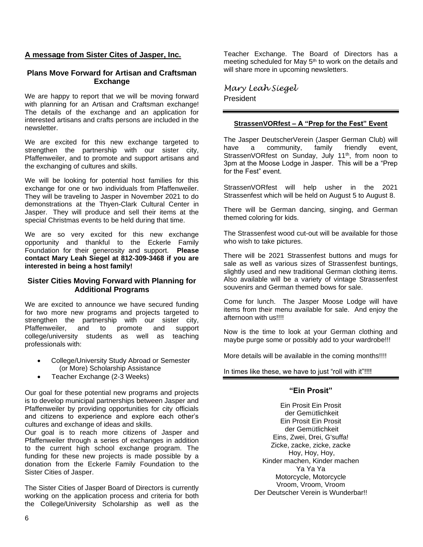#### **A message from Sister Cites of Jasper, Inc.**

#### **Plans Move Forward for Artisan and Craftsman Exchange**

We are happy to report that we will be moving forward with planning for an Artisan and Craftsman exchange! The details of the exchange and an application for interested artisans and crafts persons are included in the newsletter.

We are excited for this new exchange targeted to strengthen the partnership with our sister city, Pfaffenweiler, and to promote and support artisans and the exchanging of cultures and skills.

We will be looking for potential host families for this exchange for one or two individuals from Pfaffenweiler. They will be traveling to Jasper in November 2021 to do demonstrations at the Thyen-Clark Cultural Center in Jasper. They will produce and sell their items at the special Christmas events to be held during that time.

We are so very excited for this new exchange opportunity and thankful to the Eckerle Family Foundation for their generosity and support. **Please contact Mary Leah Siegel at 812-309-3468 if you are interested in being a host family!** 

#### **Sister Cities Moving Forward with Planning for Additional Programs**

We are excited to announce we have secured funding for two more new programs and projects targeted to strengthen the partnership with our sister city, Pfaffenweiler, and to promote and support college/university students as well as teaching professionals with:

- College/University Study Abroad or Semester (or More) Scholarship Assistance
- Teacher Exchange (2-3 Weeks)

Our goal for these potential new programs and projects is to develop municipal partnerships between Jasper and Pfaffenweiler by providing opportunities for city officials and citizens to experience and explore each other's cultures and exchange of ideas and skills.

Our goal is to reach more citizens of Jasper and Pfaffenweiler through a series of exchanges in addition to the current high school exchange program. The funding for these new projects is made possible by a donation from the Eckerle Family Foundation to the Sister Cities of Jasper.

The Sister Cities of Jasper Board of Directors is currently working on the application process and criteria for both the College/University Scholarship as well as the

Teacher Exchange. The Board of Directors has a meeting scheduled for May 5<sup>th</sup> to work on the details and will share more in upcoming newsletters.

*Mary Leah Siegel* President

#### **StrassenVORfest – A "Prep for the Fest" Event**

The Jasper DeutscherVerein (Jasper German Club) will have a community, family friendly event, StrassenVORfest on Sunday, July 11<sup>th</sup>, from noon to 3pm at the Moose Lodge in Jasper. This will be a "Prep for the Fest" event.

StrassenVORfest will help usher in the 2021 Strassenfest which will be held on August 5 to August 8.

There will be German dancing, singing, and German themed coloring for kids.

The Strassenfest wood cut-out will be available for those who wish to take pictures.

There will be 2021 Strassenfest buttons and mugs for sale as well as various sizes of Strassenfest buntings, slightly used and new traditional German clothing items. Also available will be a variety of vintage Strassenfest souvenirs and German themed bows for sale.

Come for lunch. The Jasper Moose Lodge will have items from their menu available for sale. And enjoy the afternoon with us!!!!

Now is the time to look at your German clothing and maybe purge some or possibly add to your wardrobe!!!

More details will be available in the coming months!!!!

In times like these, we have to just "roll with it"!!!!

#### **"Ein Prosit"**

Ein Prosit Ein Prosit der Gemütlichkeit Ein Prosit Ein Prosit der Gemütlichkeit Eins, Zwei, Drei, G'suffa! Zicke, zacke, zicke, zacke Hoy, Hoy, Hoy, Kinder machen, Kinder machen Ya Ya Ya Motorcycle, Motorcycle Vroom, Vroom, Vroom Der Deutscher Verein is Wunderbar!!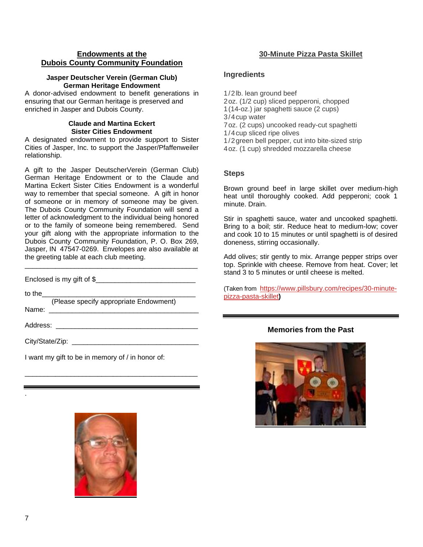#### **Endowments at the Dubois County Community Foundation**

#### **Jasper Deutscher Verein (German Club) German Heritage Endowment**

A donor-advised endowment to benefit generations in ensuring that our German heritage is preserved and enriched in Jasper and Dubois County.

# **Claude and Martina Eckert Sister Cities Endowment**

A designated endowment to provide support to Sister Cities of Jasper, Inc. to support the Jasper/Pfaffenweiler relationship.

A gift to the Jasper DeutscherVerein (German Club) German Heritage Endowment or to the Claude and Martina Eckert Sister Cities Endowment is a wonderful way to remember that special someone. A gift in honor of someone or in memory of someone may be given. The Dubois County Community Foundation will send a letter of acknowledgment to the individual being honored or to the family of someone being remembered. Send your gift along with the appropriate information to the Dubois County Community Foundation, P. O. Box 269, Jasper, IN 47547-0269. Envelopes are also available at the greeting table at each club meeting.

\_\_\_\_\_\_\_\_\_\_\_\_\_\_\_\_\_\_\_\_\_\_\_\_\_\_\_\_\_\_\_\_\_\_\_\_\_\_\_\_\_\_\_\_\_

Enclosed is my gift of \$

to the

 (Please specify appropriate Endowment) Name: \_\_\_\_\_\_\_\_\_\_\_\_\_\_\_\_\_\_\_\_\_\_\_\_\_\_\_\_\_\_\_\_\_\_\_\_\_\_\_

\_\_\_\_\_\_\_\_\_\_\_\_\_\_\_\_\_\_\_\_\_\_\_\_\_\_\_\_\_\_\_\_\_\_\_\_\_\_\_\_\_\_\_\_\_

I want my gift to be in memory of / in honor of:

# Address: \_\_\_\_\_\_\_\_\_\_\_\_\_\_\_\_\_\_\_\_\_\_\_\_\_\_\_\_\_\_\_\_\_\_\_\_\_ City/State/Zip: \_\_\_\_\_\_\_\_\_\_\_\_\_\_\_\_\_\_\_\_\_\_\_\_\_\_\_\_\_\_\_\_\_

# **30-Minute Pizza Pasta Skillet**

#### **Ingredients**

- 1/2lb. lean ground beef
- 2oz. (1/2 cup) sliced pepperoni, chopped
- 1(14-oz.) jar spaghetti sauce (2 cups)
- 3/4cup water
- 7oz. (2 cups) uncooked ready-cut spaghetti
- 1/4cup sliced ripe olives
- 1/2green bell pepper, cut into bite-sized strip
- 4oz. (1 cup) shredded mozzarella cheese

#### **Steps**

Brown ground beef in large skillet over medium-high heat until thoroughly cooked. Add pepperoni; cook 1 minute. Drain.

Stir in spaghetti sauce, water and uncooked spaghetti. Bring to a boil; stir. Reduce heat to medium-low; cover and cook 10 to 15 minutes or until spaghetti is of desired doneness, stirring occasionally.

Add olives; stir gently to mix. Arrange pepper strips over top. Sprinkle with cheese. Remove from heat. Cover; let stand 3 to 5 minutes or until cheese is melted.

(Taken from[https://www.pillsbury.com/recipes/30-minute](https://www.pillsbury.com/recipes/30-minute-pizza-pasta-skillet)[pizza-pasta-skillet](https://www.pillsbury.com/recipes/30-minute-pizza-pasta-skillet)**)**

# **Memories from the Past**



.